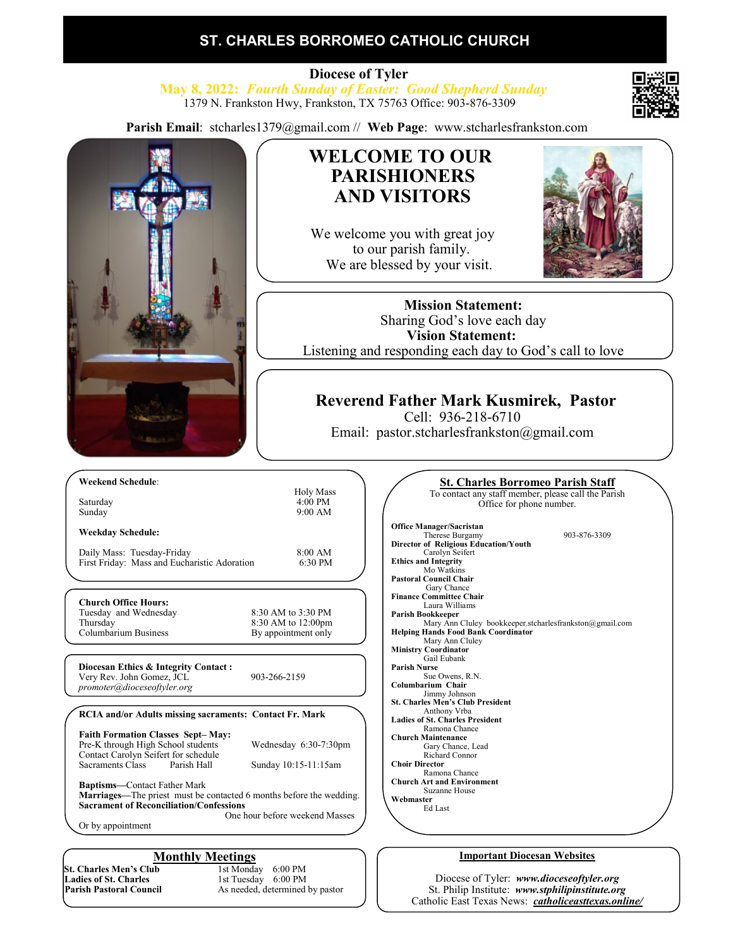# **ST. CHARLES BORROMEO CATHOLIC CHURCH**

 **Diocese of Tyler May 8, 2022:** *Fourth Sunday of Easter: Good Shepherd Sunday* 1379 N. Frankston Hwy, Frankston, TX 75763 Office: 903-876-3309

**Parish Email**: stcharles1379@gmail.com // **Web Page**: www.stcharlesfrankston.com



# **WELCOME TO OUR PARISHIONERS AND VISITORS**

We welcome you with great joy to our parish family. We are blessed by your visit.



**Mission Statement:** Sharing God's love each day **Vision Statement:**  Listening and responding each day to God's call to love

## **Reverend Father Mark Kusmirek, Pastor**

Cell: 936-218-6710

Email: pastor.stcharlesfrankston@gmail.com

**Weekday Schedule:**

**Church Office Hours:** 

Daily Mass: Tuesday-Friday<br>First Friday: Mass and Eucharistic Adoration 6:30 PM First Friday: Mass and Eucharistic Adoration

Tuesday and Wednesday 8:30 AM to 3:30 PM Thursday 8:30 AM to 12:00pm<br>Columbarium Business By appointment only By appointment only

9:00 AM

**Diocesan Ethics & Integrity Contact :** Very Rev. John Gomez, JCL 903-266-2159 *promoter@dioceseoftyler.org*

### **RCIA and/or Adults missing sacraments: Contact Fr. Mark**

| <b>Faith Formation Classes Sept-May:</b><br>Pre-K through High School students<br>Contact Carolyn Seifert for schedule<br>Sacraments Class | Parish Hall | Wednesday 6:30-7:30pm<br>Sunday 10:15-11:15am |
|--------------------------------------------------------------------------------------------------------------------------------------------|-------------|-----------------------------------------------|
| <b>Baptisms—Contact Father Mark</b>                                                                                                        |             |                                               |

**Marriages—**The priest must be contacted 6 months before the wedding. **Sacrament of Reconciliation/Confessions** One hour before weekend Masses

Or by appointment

**St. Charles Men's Club**<br>Ladies of St. Charles **Ladies of St. Charles 1st Tuesday 6:00 PM**<br> **Parish Pastoral Council** As needed, determined

**Monthly Meetings**<br>ab 1st Monday 6:00 PM As needed, determined by pastor

| <b><u>St. Charles Borromeo Parish Staff</u></b>         |  |
|---------------------------------------------------------|--|
| To contact any staff member, please call the Parish     |  |
| Office for phone number.                                |  |
|                                                         |  |
| <b>Office Manager/Sacristan</b>                         |  |
| Therese Burgamy<br>903-876-3309                         |  |
| Director of Religious Education/Youth                   |  |
| Carolyn Seifert                                         |  |
| <b>Ethics and Integrity</b>                             |  |
| Mo Watkins                                              |  |
| <b>Pastoral Council Chair</b>                           |  |
| Gary Chance                                             |  |
| <b>Finance Committee Chair</b>                          |  |
| Laura Williams                                          |  |
| Parish Bookkeeper                                       |  |
| Mary Ann Cluley bookkeeper.stcharlesfrankston@gmail.com |  |
| <b>Helping Hands Food Bank Coordinator</b>              |  |
| Mary Ann Cluley                                         |  |
| <b>Ministry Coordinator</b>                             |  |
| Gail Eubank                                             |  |
| <b>Parish Nurse</b>                                     |  |
| Sue Owens, R.N.                                         |  |
| Columbarium Chair                                       |  |
| Jimmy Johnson                                           |  |
| <b>St. Charles Men's Club President</b>                 |  |
| Anthony Vrba                                            |  |
| <b>Ladies of St. Charles President</b>                  |  |
| Ramona Chance                                           |  |
| <b>Church Maintenance</b>                               |  |
| Gary Chance, Lead                                       |  |
| Richard Connor                                          |  |
| <b>Choir Director</b>                                   |  |
| Ramona Chance                                           |  |
| <b>Church Art and Environment</b>                       |  |
| Suzanne House                                           |  |
| Webmaster                                               |  |
| Ed Last                                                 |  |
|                                                         |  |
|                                                         |  |

### **Important Diocesan Websites**

Diocese of Tyler: *www.dioceseoftyler.org* St. Philip Institute: *www.stphilipinstitute.org* Catholic East Texas News: *catholiceasttexas.online/*

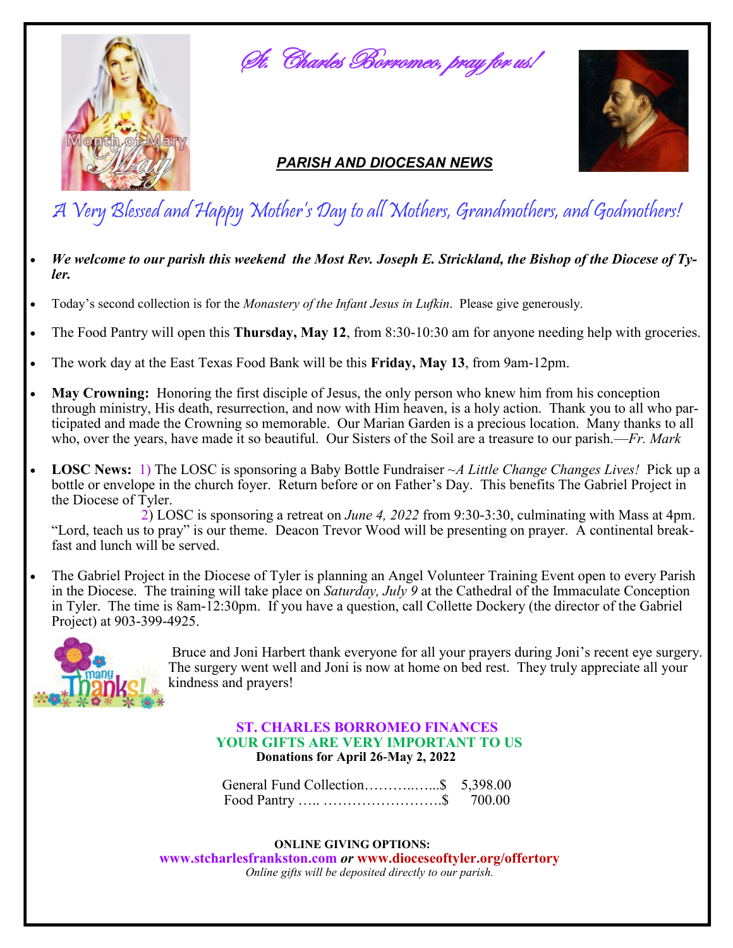

St. Charles Borromeo, pray for us!

# *PARISH AND DIOCESAN NEWS*



# A Very Blessed and Happy Mother's Day to all Mothers, Grandmothers, and Godmothers!

- We welcome to our parish this weekend the Most Rev. Joseph E. Strickland, the Bishop of the Diocese of Ty*ler.*
- Today's second collection is for the *Monastery of the Infant Jesus in Lufkin*. Please give generously.
- The Food Pantry will open this **Thursday, May 12**, from 8:30-10:30 am for anyone needing help with groceries.
- The work day at the East Texas Food Bank will be this **Friday, May 13**, from 9am-12pm.
- **May Crowning:** Honoring the first disciple of Jesus, the only person who knew him from his conception through ministry, His death, resurrection, and now with Him heaven, is a holy action. Thank you to all who participated and made the Crowning so memorable. Our Marian Garden is a precious location. Many thanks to all who, over the years, have made it so beautiful. Our Sisters of the Soil are a treasure to our parish.—*Fr. Mark*
- **LOSC News:** 1) The LOSC is sponsoring a Baby Bottle Fundraiser ~*A Little Change Changes Lives!* Pick up a bottle or envelope in the church foyer. Return before or on Father's Day. This benefits The Gabriel Project in the Diocese of Tyler.

 2) LOSC is sponsoring a retreat on *June 4, 2022* from 9:30-3:30, culminating with Mass at 4pm. "Lord, teach us to pray" is our theme. Deacon Trevor Wood will be presenting on prayer. A continental break fast and lunch will be served.

The Gabriel Project in the Diocese of Tyler is planning an Angel Volunteer Training Event open to every Parish in the Diocese. The training will take place on *Saturday, July 9* at the Cathedral of the Immaculate Conception in Tyler. The time is 8am-12:30pm. If you have a question, call Collette Dockery (the director of the Gabriel Project) at 903-399-4925.



Bruce and Joni Harbert thank everyone for all your prayers during Joni's recent eye surgery. The surgery went well and Joni is now at home on bed rest. They truly appreciate all your kindness and prayers!

## **ST. CHARLES BORROMEO FINANCES YOUR GIFTS ARE VERY IMPORTANT TO US Donations for April 26-May 2, 2022**

General Fund Collection………..…...\$ 5,398.00 Food Pantry ….. …………………….\$ 700.00

 **ONLINE GIVING OPTIONS: www.stcharlesfrankston.com** *or* **www.dioceseoftyler.org/offertory** *Online gifts will be deposited directly to our parish.*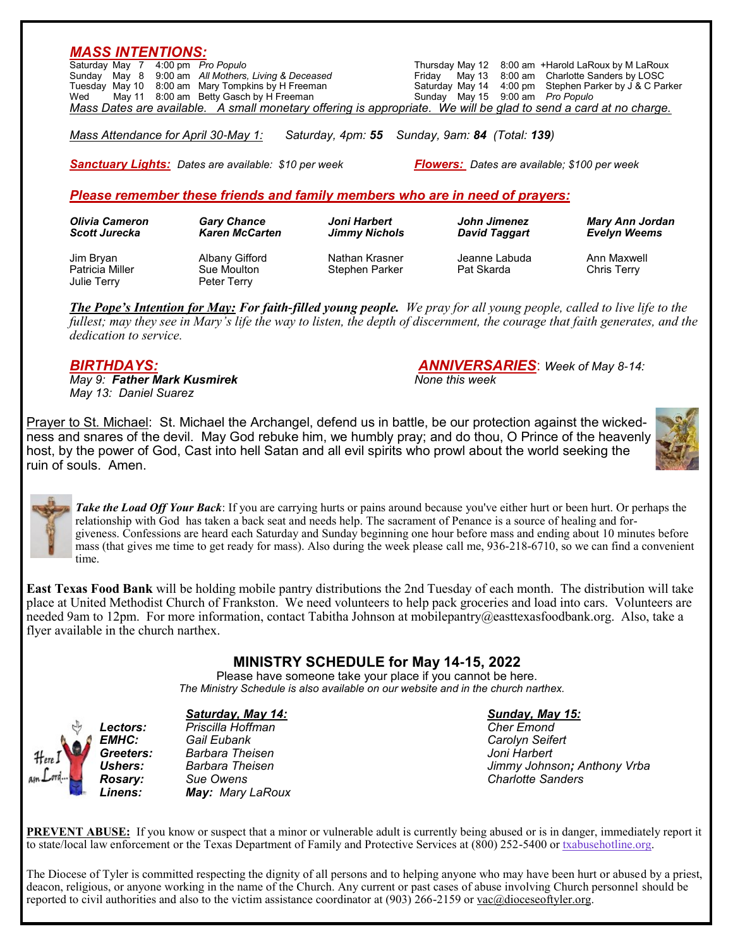| Saturday May 7 4:00 pm Pro Populo<br>Sunday May 8<br>Tuesday May 10<br>Wed | 9:00 am All Mothers, Living & Deceased<br>8:00 am Mary Tompkins by H Freeman<br>May 11 8:00 am Betty Gasch by H Freeman<br>Mass Dates are available. A small monetary offering is appropriate. We will be glad to send a card at no charge. |                                                | Thursday May 12 8:00 am +Harold LaRoux by M LaRoux<br>May 13 8:00 am Charlotte Sanders by LOSC<br>Fridav<br>Saturday May 14<br>4:00 pm<br>Sunday May 15 9:00 am Pro Populo | Stephen Parker by J & C Parker |
|----------------------------------------------------------------------------|---------------------------------------------------------------------------------------------------------------------------------------------------------------------------------------------------------------------------------------------|------------------------------------------------|----------------------------------------------------------------------------------------------------------------------------------------------------------------------------|--------------------------------|
| Mass Attendance for April 30-May 1:                                        |                                                                                                                                                                                                                                             | Saturday, 4pm: 55 Sunday, 9am: 84 (Total: 139) |                                                                                                                                                                            |                                |
|                                                                            |                                                                                                                                                                                                                                             |                                                |                                                                                                                                                                            |                                |
|                                                                            |                                                                                                                                                                                                                                             |                                                |                                                                                                                                                                            |                                |
|                                                                            | <b>Sanctuary Lights:</b> Dates are available: \$10 per week                                                                                                                                                                                 |                                                | <b>Flowers:</b> Dates are available: \$100 per week                                                                                                                        |                                |
|                                                                            | Please remember these friends and family members who are in need of prayers:                                                                                                                                                                |                                                |                                                                                                                                                                            |                                |
| <b>Olivia Cameron</b>                                                      | <b>Gary Chance</b>                                                                                                                                                                                                                          | Joni Harbert                                   | John Jimenez                                                                                                                                                               | <b>Mary Ann Jordan</b>         |
| <b>Scott Jurecka</b>                                                       | <b>Karen McCarten</b>                                                                                                                                                                                                                       | <b>Jimmy Nichols</b>                           | <b>David Taggart</b>                                                                                                                                                       | <b>Evelyn Weems</b>            |
| Jim Bryan                                                                  | <b>Albany Gifford</b>                                                                                                                                                                                                                       | Nathan Krasner                                 | Jeanne Labuda                                                                                                                                                              | Ann Maxwell                    |

*The Pope's Intention for May: For faith-filled young people. We pray for all young people, called to live life to the fullest; may they see in Mary's life the way to listen, the depth of discernment, the courage that faith generates, and the dedication to service.*

*May 9: Father Mark Kusmirek None this week May 13: Daniel Suarez*

*BIRTHDAYS: ANNIVERSARIES*: *Week of May 8-14:*

Prayer to St. Michael: St. Michael the Archangel, defend us in battle, be our protection against the wickedness and snares of the devil. May God rebuke him, we humbly pray; and do thou, O Prince of the heavenly host, by the power of God, Cast into hell Satan and all evil spirits who prowl about the world seeking the ruin of souls. Amen.



time.

*Take the Load Off Your Back*: If you are carrying hurts or pains around because you've either hurt or been hurt. Or perhaps the relationship with God has taken a back seat and needs help. The sacrament of Penance is a source of healing and forgiveness. Confessions are heard each Saturday and Sunday beginning one hour before mass and ending about 10 minutes before mass (that gives me time to get ready for mass). Also during the week please call me, 936-218-6710, so we can find a convenient

**East Texas Food Bank** will be holding mobile pantry distributions the 2nd Tuesday of each month. The distribution will take place at United Methodist Church of Frankston. We need volunteers to help pack groceries and load into cars. Volunteers are needed 9am to 12pm. For more information, contact Tabitha Johnson at mobilepantry@easttexasfoodbank.org. Also, take a flyer available in the church narthex.

## **MINISTRY SCHEDULE for May 14-15, 2022**

Please have someone take your place if you cannot be here.  *The Ministry Schedule is also available on our website and in the church narthex.*

*Lectors: Priscilla Hoffman Cher Emond Greeters: Barbara Theisen Joni Harbert Rosary: Sue Owens Charlotte Sanders Linens: May: Mary LaRoux*

### *Saturday, May 14: Sunday, May 15:*

 $Carolvn$  Seifert *Ushers: Barbara Theisen Jimmy Johnson; Anthony Vrba*

**PREVENT ABUSE:** If you know or suspect that a minor or vulnerable adult is currently being abused or is in danger, immediately report it to state/local law enforcement or the Texas Department of Family and Protective Services at (800) 252-5400 or [txabusehotline.org.](http://txabusehotline.org/)

The Diocese of Tyler is committed respecting the dignity of all persons and to helping anyone who may have been hurt or abused by a priest, deacon, religious, or anyone working in the name of the Church. Any current or past cases of abuse involving Church personnel should be reported to civil authorities and also to the victim assistance coordinator at (903) 266-2159 or [vac@dioceseoftyler.org.](mailto:vac@dioceseoftyler.org)